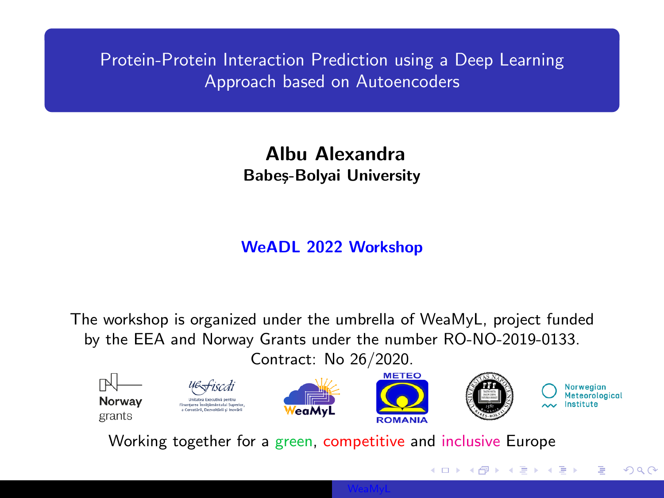<span id="page-0-0"></span>Protein-Protein Interaction Prediction using a Deep Learning Approach based on Autoencoders

> Albu Alexandra Babeș-Bolyai University

WeADL 2022 Workshop

The workshop is organized under the umbrella of WeaMyL, project funded by the EEA and Norway Grants under the number RO-NO-2019-0133.

Contract: No 26/2020.



∢ロ ▶ ∢何 ▶ ∢ ヨ ▶ ∢ ヨ ▶

 $\Omega$ 

Working together for a green, competitive and inclusive Europe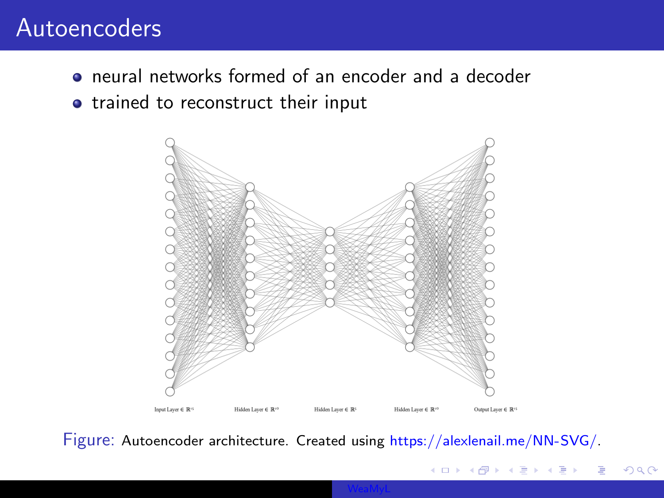#### <span id="page-1-0"></span>Autoencoders

- neural networks formed of an encoder and a decoder
- trained to reconstruct their input



Figure: Autoencoder architecture. Created using [https://alexlenail.me/NN-SVG/.](https://alexlenail.me/NN-SVG/)

つくへ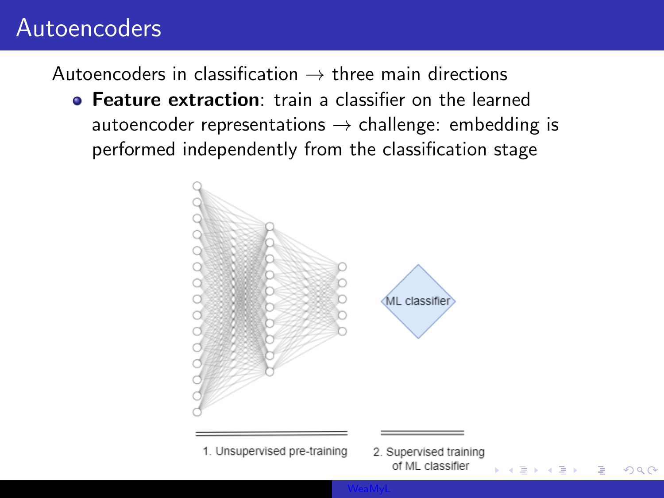#### Autoencoders

Autoencoders in classification  $\rightarrow$  three main directions

**• Feature extraction:** train a classifier on the learned autoencoder representations  $\rightarrow$  challenge: embedding is performed independently from the classification stage



つくい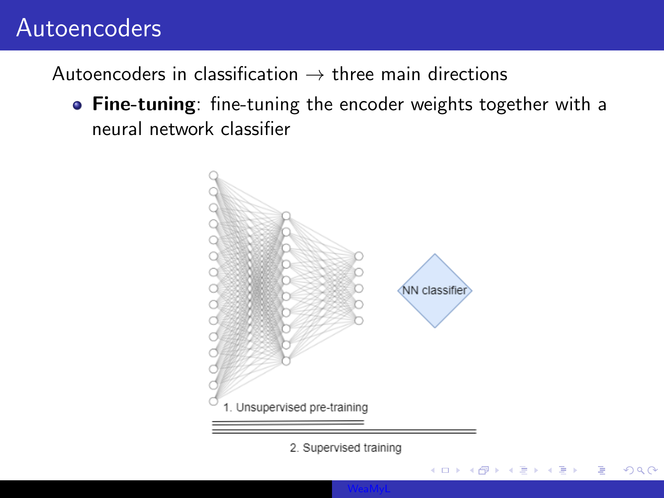#### **Autoencoders**

Autoencoders in classification  $\rightarrow$  three main directions

**• Fine-tuning:** fine-tuning the encoder weights together with a neural network classifier



2. Supervised training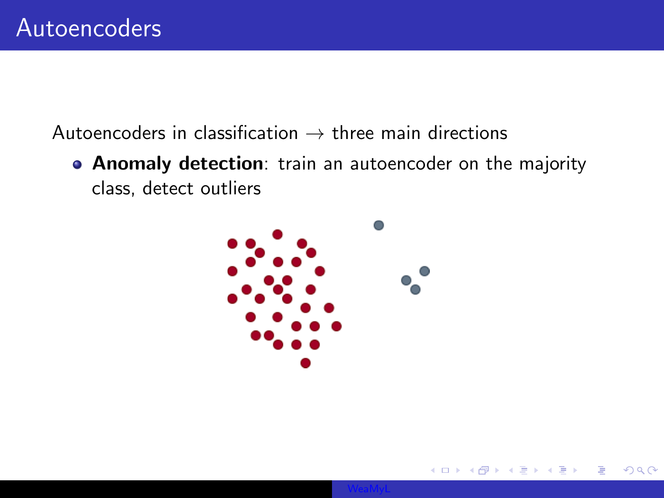<span id="page-4-0"></span>Autoencoders in classification  $\rightarrow$  three main directions

**• Anomaly detection**: train an autoencoder on the majority class, detect outliers

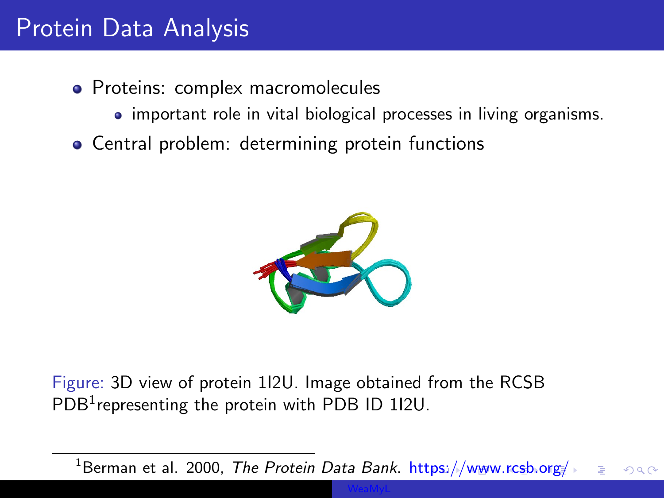## <span id="page-5-0"></span>Protein Data Analysis

- Proteins: complex macromolecules
	- important role in vital biological processes in living organisms.
- Central problem: determining protein functions



Figure: 3D view of protein 1I2U. Image obtained from the RCSB PDB<sup>1</sup> representing the protein with PDB ID 112U.

<sup>1</sup>Berman et al. 2000, The Protein Data Bank. <https://www.rcsb.org/> つくい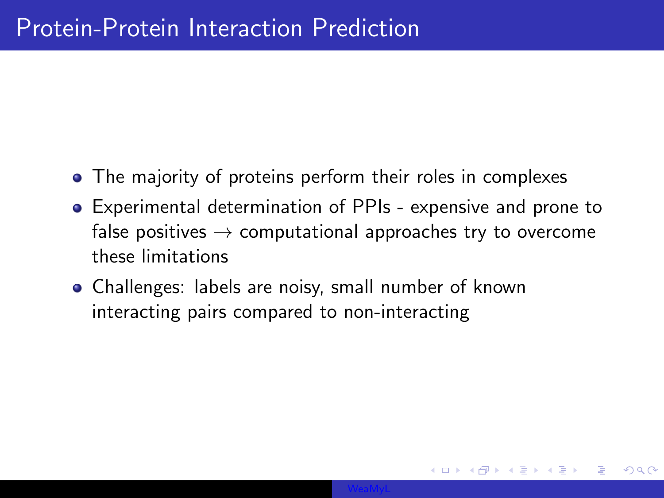- <span id="page-6-0"></span>• The majority of proteins perform their roles in complexes
- Experimental determination of PPIs expensive and prone to false positives  $\rightarrow$  computational approaches try to overcome these limitations

 $\Omega$ 

Challenges: labels are noisy, small number of known interacting pairs compared to non-interacting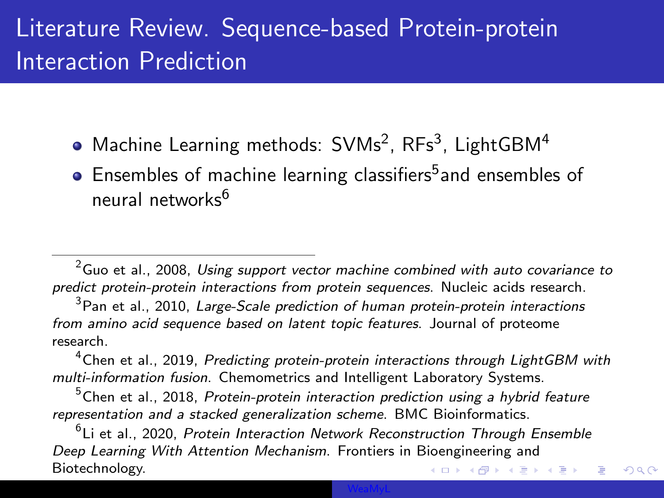# <span id="page-7-0"></span>Literature Review. Sequence-based Protein-protein Interaction Prediction

- Machine Learning methods: SVMs<sup>2</sup>, RFs<sup>3</sup>, LightGBM<sup>4</sup>
- Ensembles of machine learning classifiers<sup>5</sup>and ensembles of neural networks<sup>6</sup>

<sup>4</sup>Chen et al., 2019, Predicting protein-protein interactions through LightGBM with multi-information fusion. Chemometrics and Intelligent Laboratory Systems.

 $5$ Chen et al., 2018, Protein-protein interaction prediction using a hybrid feature representation and a stacked generalization scheme. BMC Bioinformatics.

 $^6$ Li et al., 2020, *Protein Interaction Network Reconstruction Through Ensemble* Deep Learning With Attention Mechanism. Frontiers in Bioengineering and Biotechnology.  $\triangleright$   $\prec$   $\mathsf{f} \mathsf{P}$   $\triangleright$   $\prec$   $\mathsf{F}$   $\triangleright$   $\prec$   $\mathsf{F}$   $\triangleright$ 

 $2$ Guo et al., 2008, Using support vector machine combined with auto covariance to predict protein-protein interactions from protein sequences. Nucleic acids research.

 $3$ Pan et al., 2010, Large-Scale prediction of human protein-protein interactions from amino acid sequence based on latent topic features. Journal of proteome research.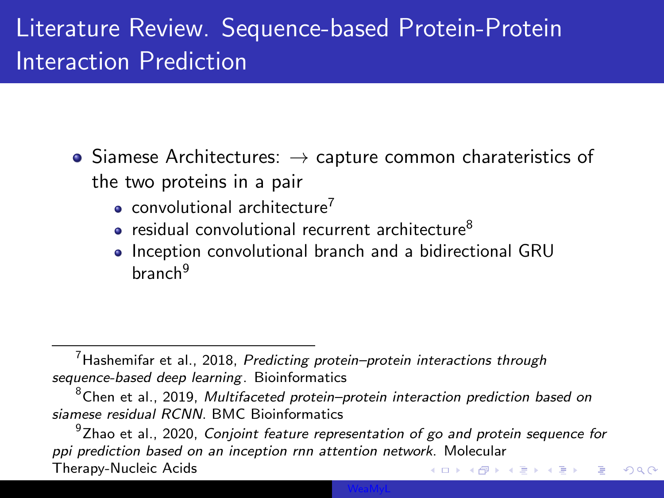# Literature Review. Sequence-based Protein-Protein Interaction Prediction

- Siamese Architectures:  $\rightarrow$  capture common charateristics of the two proteins in a pair
	- convolutional architecture<sup>7</sup>
	- $\bullet$  residual convolutional recurrent architecture<sup>8</sup>
	- Inception convolutional branch and a bidirectional GRU branch<sup>9</sup>

 $7$ Hashemifar et al., 2018, Predicting protein–protein interactions through sequence-based deep learning. Bioinformatics

 $8$ Chen et al., 2019, Multifaceted protein–protein interaction prediction based on siamese residual RCNN. BMC Bioinformatics

<sup>9</sup>Zhao et al., 2020, Conjoint feature representation of go and protein sequence for ppi prediction based on an inception rnn attention network. Molecular Therapy-Nucleic Acids 押 トメミトメミト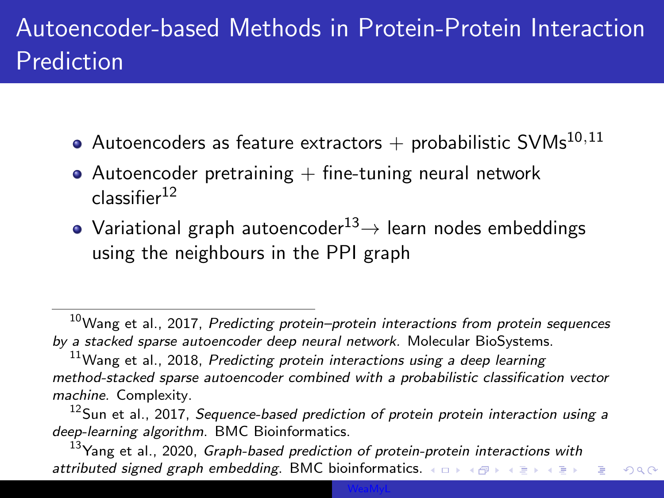# Autoencoder-based Methods in Protein-Protein Interaction Prediction

- $\bullet$  Autoencoders as feature extractors + probabilistic SVMs<sup>10,11</sup>
- $\bullet$  Autoencoder pretraining  $+$  fine-tuning neural network classifier<sup>12</sup>
- Variational graph autoencoder<sup>13</sup> $\rightarrow$  learn nodes embeddings using the neighbours in the PPI graph

 $10$ Wang et al., 2017, Predicting protein–protein interactions from protein sequences by a stacked sparse autoencoder deep neural network. Molecular BioSystems.

 $11$ Wang et al., 2018, Predicting protein interactions using a deep learning method-stacked sparse autoencoder combined with a probabilistic classification vector machine. Complexity.

 $12$ Sun et al., 2017, Sequence-based prediction of protein protein interaction using a deep-learning algorithm. BMC Bioinformatics.

 $13$ Yang et al., 2020, Graph-based prediction of protein-protein interactions with attributed signed graph embedding. BMC bioinformatics.  $\Box \rightarrow \Box \rightarrow \Box \rightarrow \Box \rightarrow \Box$  $\equiv$  $QQ$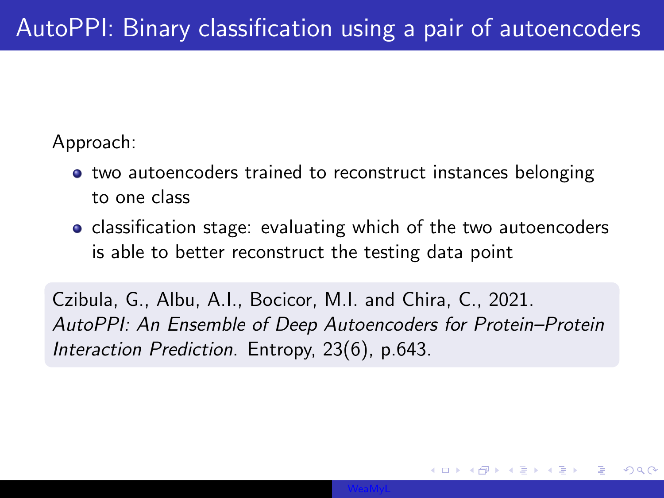Approach:

- two autoencoders trained to reconstruct instances belonging to one class
- classification stage: evaluating which of the two autoencoders is able to better reconstruct the testing data point

Czibula, G., Albu, A.I., Bocicor, M.I. and Chira, C., 2021. AutoPPI: An Ensemble of Deep Autoencoders for Protein–Protein Interaction Prediction. Entropy, 23(6), p.643.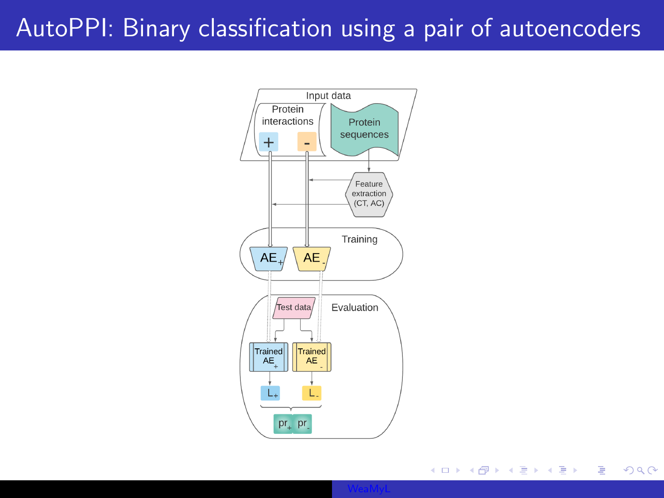## AutoPPI: Binary classification using a pair of autoencoders



メロメメ 御 メメ きょく モドー E  $299$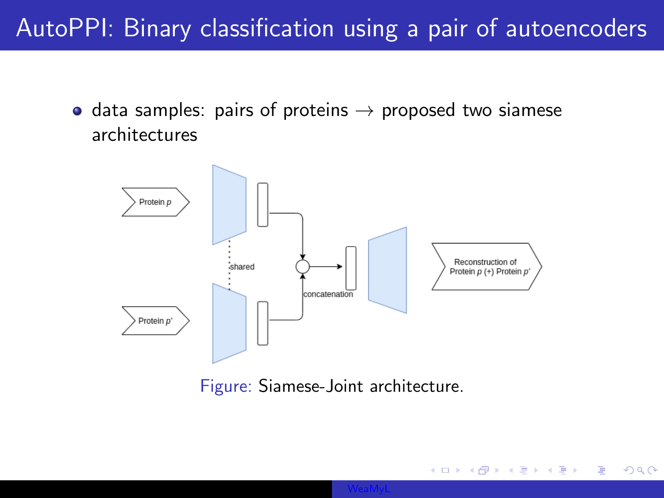## AutoPPI: Binary classification using a pair of autoencoders

• data samples: pairs of proteins  $\rightarrow$  proposed two siamese architectures



Figure: Siamese-Joint architecture.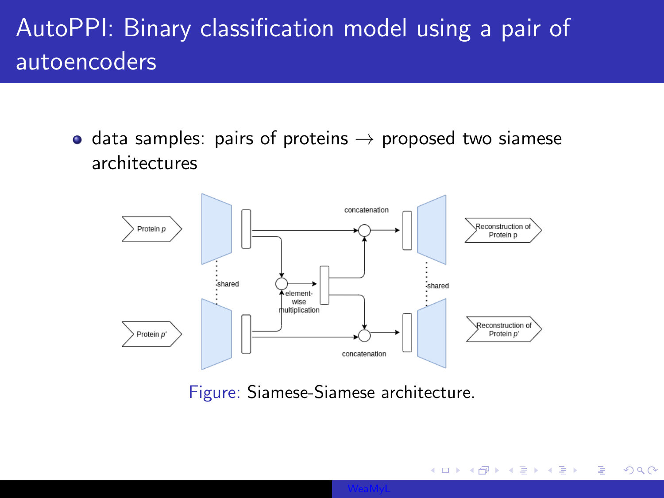# AutoPPI: Binary classification model using a pair of autoencoders

• data samples: pairs of proteins  $\rightarrow$  proposed two siamese architectures



Figure: Siamese-Siamese architecture.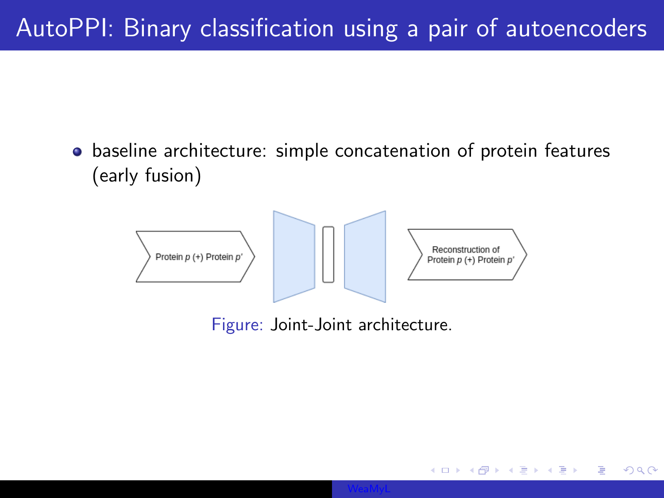baseline architecture: simple concatenation of protein features (early fusion)



Figure: Joint-Joint architecture.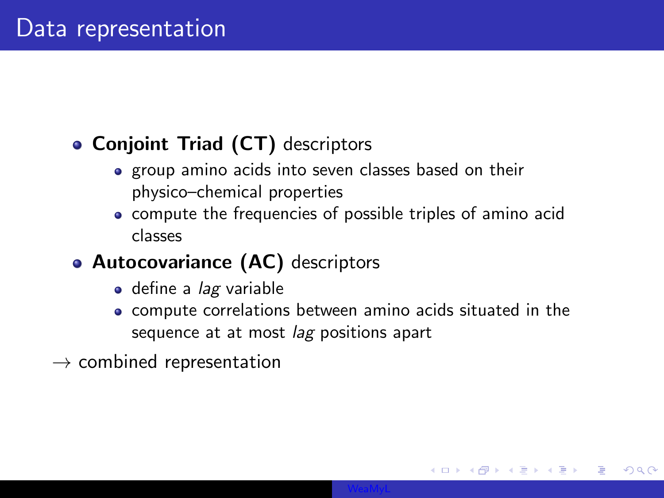#### Data representation

#### • Conjoint Triad (CT) descriptors

- group amino acids into seven classes based on their physico–chemical properties
- compute the frequencies of possible triples of amino acid classes
- Autocovariance (AC) descriptors
	- o define a *lag* variable
	- compute correlations between amino acids situated in the sequence at at most *lag* positions apart
- $\rightarrow$  combined representation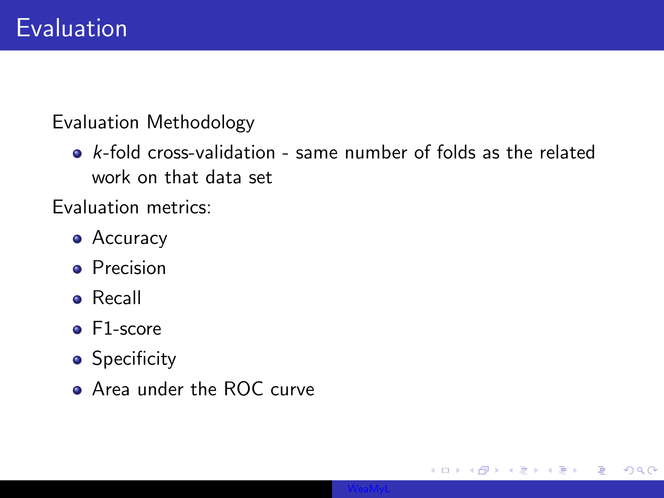#### Evaluation Methodology

 $\bullet$  k-fold cross-validation - same number of folds as the related work on that data set

つくい

Evaluation metrics:

- Accuracy
- **•** Precision
- Recall
- **•** F1-score
- Specificity
- **Area under the ROC curve**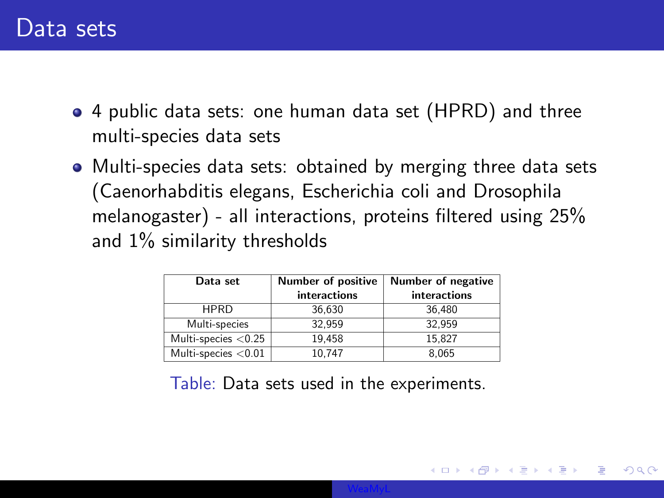- 4 public data sets: one human data set (HPRD) and three multi-species data sets
- Multi-species data sets: obtained by merging three data sets (Caenorhabditis elegans, Escherichia coli and Drosophila melanogaster) - all interactions, proteins filtered using 25% and 1% similarity thresholds

| Data set               | Number of positive | Number of negative |  |
|------------------------|--------------------|--------------------|--|
|                        | interactions       | interactions       |  |
| <b>HPRD</b>            | 36.630             | 36.480             |  |
| Multi-species          | 32.959             | 32.959             |  |
| Multi-species $<$ 0.25 | 19.458             | 15.827             |  |
| Multi-species $< 0.01$ | 10.747             | 8.065              |  |

Table: Data sets used in the experiments.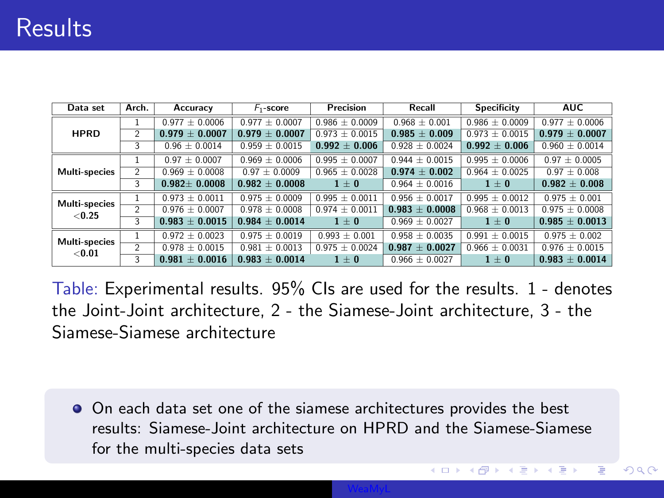| Data set                | Arch.          | Accuracy           | $F_1$ -score       | Precision          | Recall             | <b>Specificity</b> | <b>AUC</b>         |
|-------------------------|----------------|--------------------|--------------------|--------------------|--------------------|--------------------|--------------------|
| <b>HPRD</b>             |                | $0.977 + 0.0006$   | $0.977 + 0.0007$   | $0.986 + 0.0009$   | $0.968 + 0.001$    | $0.986 + 0.0009$   | $0.977 + 0.0006$   |
|                         | $\mathfrak{D}$ | $0.979 + 0.0007$   | $0.979 + 0.0007$   | $0.973 + 0.0015$   | $0.985 \pm 0.009$  | $0.973 + 0.0015$   | $0.979 \pm 0.0007$ |
|                         | 3              | $0.96 \pm 0.0014$  | $0.959 \pm 0.0015$ | $0.992 \pm 0.006$  | $0.928 \pm 0.0024$ | $0.992 \pm 0.006$  | $0.960 \pm 0.0014$ |
| Multi-species           |                | $0.97 + 0.0007$    | $0.969 + 0.0006$   | $0.995 + 0.0007$   | $0.944 + 0.0015$   | $0.995 + 0.0006$   | $0.97 \pm 0.0005$  |
|                         | $\mathcal{P}$  | $0.969 + 0.0008$   | $0.97 + 0.0009$    | $0.965 + 0.0028$   | $0.974 \pm 0.002$  | $0.964 + 0.0025$   | $0.97 \pm 0.008$   |
|                         | 3              | $0.982 \pm 0.0008$ | $0.982 \pm 0.0008$ | $1 \pm 0$          | $0.964 \pm 0.0016$ | $1 \pm 0$          | $0.982 \pm 0.008$  |
| Multi-species<br>< 0.25 |                | $0.973 \pm 0.0011$ | $0.975 + 0.0009$   | $0.995 + 0.0011$   | $0.956 + 0.0017$   | $0.995 + 0.0012$   | $0.975 + 0.001$    |
|                         | $\mathfrak{p}$ | $0.976 + 0.0007$   | $0.978 + 0.0008$   | $0.974 \pm 0.0011$ | $0.983 \pm 0.0008$ | $0.968 \pm 0.0013$ | $0.975 \pm 0.0008$ |
|                         | 3              | $0.983 \pm 0.0015$ | $0.984 \pm 0.0014$ | $1 \pm 0$          | $0.969 \pm 0.0027$ | $1 \pm 0$          | $0.985 \pm 0.0013$ |
| Multi-species<br>< 0.01 |                | $0.972 + 0.0023$   | $0.975 + 0.0019$   | $0.993 \pm 0.001$  | $0.958 \pm 0.0035$ | $0.991 \pm 0.0015$ | $0.975 + 0.002$    |
|                         | $\mathfrak{p}$ | $0.978 + 0.0015$   | $0.981 \pm 0.0013$ | $0.975 \pm 0.0024$ | $0.987 + 0.0027$   | $0.966 \pm 0.0031$ | $0.976 \pm 0.0015$ |
|                         | 3              | $0.981 \pm 0.0016$ | $0.983 \pm 0.0014$ | $1 \pm 0$          | $0.966 \pm 0.0027$ | $1 \pm 0$          | $0.983 \pm 0.0014$ |

Table: Experimental results. 95% CIs are used for the results. 1 - denotes the Joint-Joint architecture, 2 - the Siamese-Joint architecture, 3 - the Siamese-Siamese architecture

**O** On each data set one of the siamese architectures provides the best results: Siamese-Joint architecture on HPRD and the Siamese-Siamese for the multi-species data sets

E

 $QQ$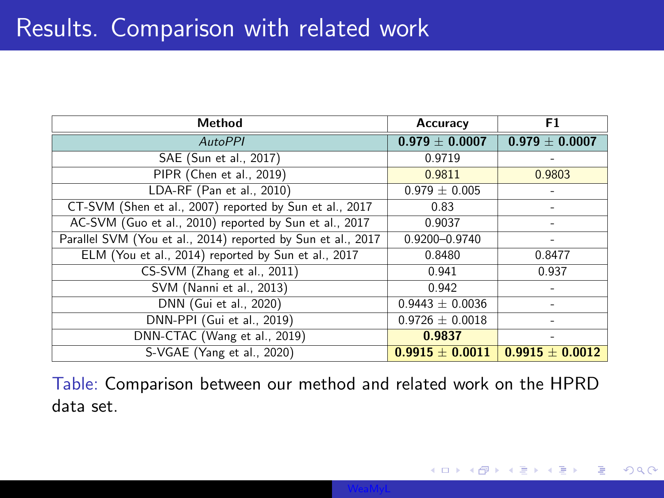#### Results. Comparison with related work

| Method                                                       | Accuracy            | F1                  |
|--------------------------------------------------------------|---------------------|---------------------|
| <b>AutoPPI</b>                                               | $0.979 \pm 0.0007$  | $0.979 \pm 0.0007$  |
| SAE (Sun et al., 2017)                                       | 0.9719              |                     |
| PIPR (Chen et al., 2019)                                     | 0.9811              | 0.9803              |
| LDA-RF (Pan et al., 2010)                                    | $0.979 \pm 0.005$   |                     |
| CT-SVM (Shen et al., 2007) reported by Sun et al., 2017      | 0.83                | ۰                   |
| AC-SVM (Guo et al., 2010) reported by Sun et al., 2017       | 0.9037              |                     |
| Parallel SVM (You et al., 2014) reported by Sun et al., 2017 | 0.9200-0.9740       | ۰                   |
| ELM (You et al., 2014) reported by Sun et al., 2017          | 0.8480              | 0.8477              |
| CS-SVM (Zhang et al., 2011)                                  | 0.941               | 0.937               |
| SVM (Nanni et al., 2013)                                     | 0.942               |                     |
| DNN (Gui et al., 2020)                                       | $0.9443 \pm 0.0036$ |                     |
| DNN-PPI (Gui et al., 2019)                                   | $0.9726 \pm 0.0018$ |                     |
| DNN-CTAC (Wang et al., 2019)                                 | 0.9837              |                     |
| S-VGAE (Yang et al., 2020)                                   | $0.9915 \pm 0.0011$ | $0.9915 \pm 0.0012$ |

Table: Comparison between our method and related work on the HPRD data set.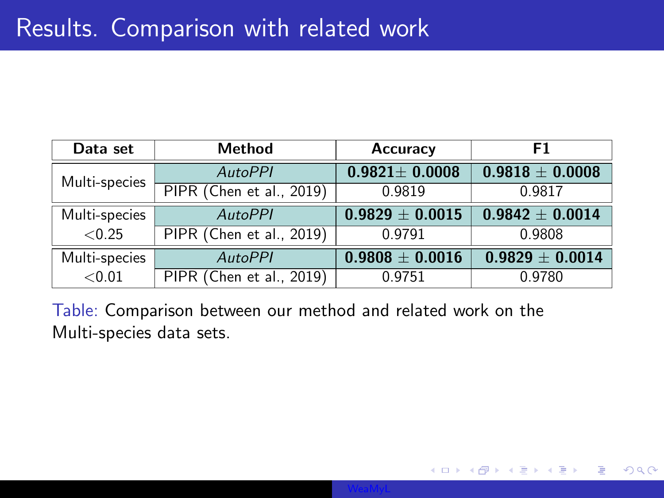| Data set      | <b>Method</b>            | <b>Accuracy</b>     | F1                  |  |
|---------------|--------------------------|---------------------|---------------------|--|
| Multi-species | <b>AutoPPI</b>           | $0.9821 \pm 0.0008$ | $0.9818 \pm 0.0008$ |  |
|               | PIPR (Chen et al., 2019) | 0.9819              | 0.9817              |  |
| Multi-species | <b>AutoPPI</b>           | $0.9829 \pm 0.0015$ | $0.9842 \pm 0.0014$ |  |
| < 0.25        | PIPR (Chen et al., 2019) | 0.9791              | 0.9808              |  |
| Multi-species | <b>AutoPPI</b>           | $0.9808 \pm 0.0016$ | $0.9829 \pm 0.0014$ |  |
| < 0.01        | PIPR (Chen et al., 2019) | 0.9751              | 0.9780              |  |

Table: Comparison between our method and related work on the Multi-species data sets.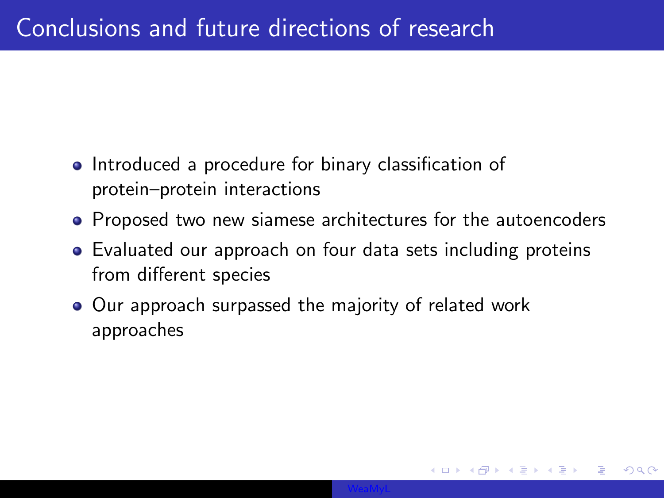## Conclusions and future directions of research

- Introduced a procedure for binary classification of protein–protein interactions
- Proposed two new siamese architectures for the autoencoders
- Evaluated our approach on four data sets including proteins from different species

つくい

• Our approach surpassed the majority of related work approaches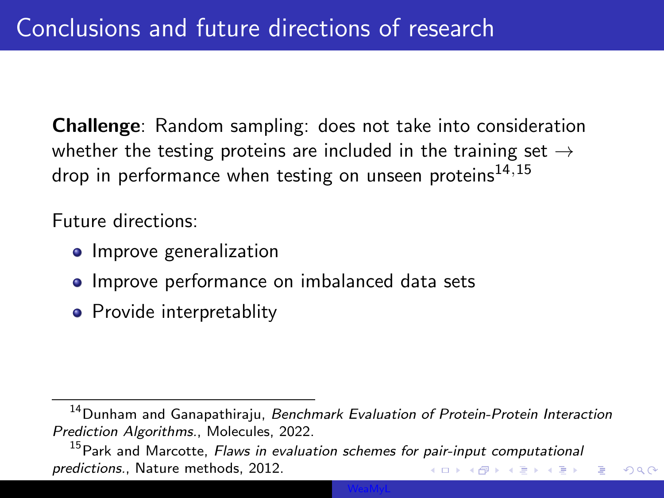Challenge: Random sampling: does not take into consideration whether the testing proteins are included in the training set  $\rightarrow$ drop in performance when testing on unseen proteins $14,15$ 

Future directions:

- Improve generalization
- **•** Improve performance on imbalanced data sets
- Provide interpretablity

<sup>&</sup>lt;sup>14</sup> Dunham and Ganapathiraju, Benchmark Evaluation of Protein-Protein Interaction Prediction Algorithms., Molecules, 2022.

 $15$ Park and Marcotte, Flaws in evaluation schemes for pair-input computational predictions., Nature methods, 2012. 医阿里氏阿里氏征